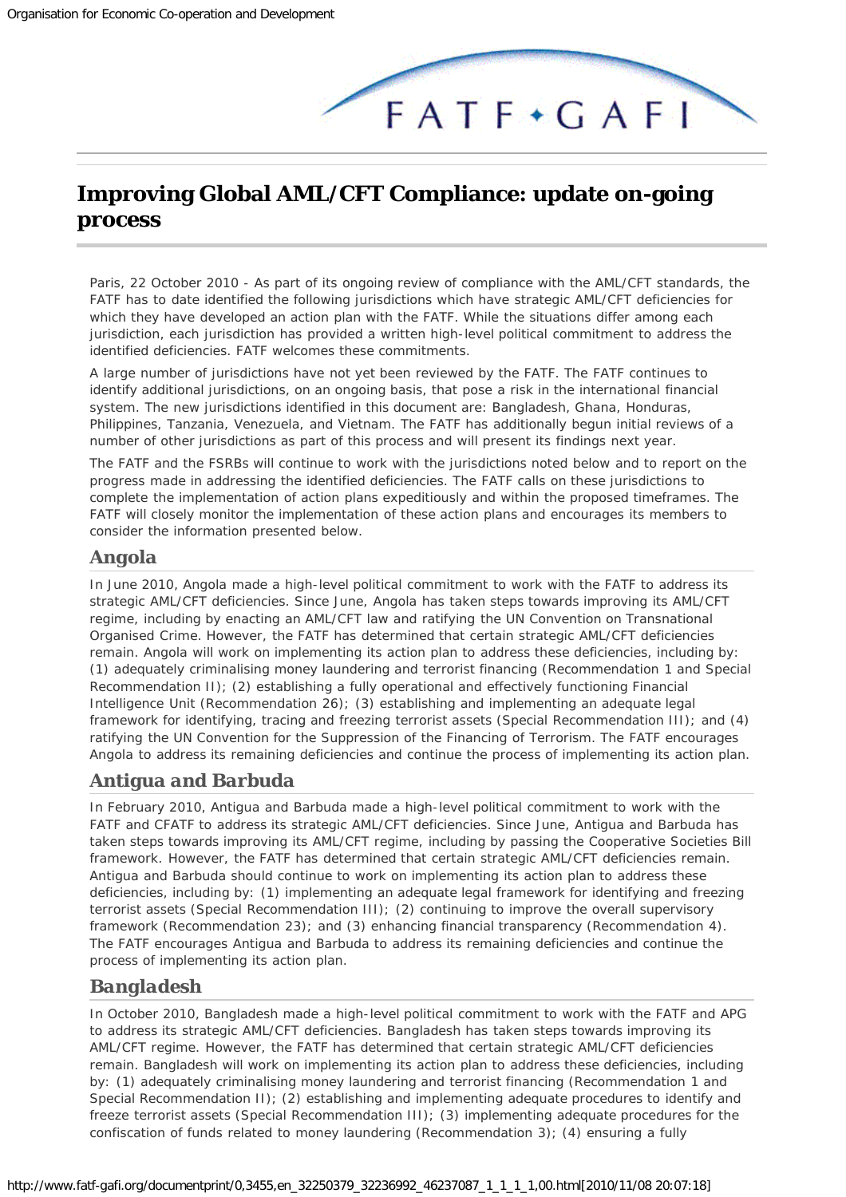

# <span id="page-0-0"></span>**Improving Global AML/CFT Compliance: update on-going process**

*Paris, 22 October 2010 -* As part of its ongoing review of compliance with the AML/CFT standards, the FATF has to date identified the following jurisdictions which have strategic AML/CFT deficiencies for which they have developed an action plan with the FATF. While the situations differ among each jurisdiction, each jurisdiction has provided a written high-level political commitment to address the identified deficiencies. FATF welcomes these commitments.

A large number of jurisdictions have not yet been reviewed by the FATF. The FATF continues to identify additional jurisdictions, on an ongoing basis, that pose a risk in the international financial system. The new jurisdictions identified in this document are: Bangladesh, Ghana, Honduras, Philippines, Tanzania, Venezuela, and Vietnam. The FATF has additionally begun initial reviews of a number of other jurisdictions as part of this process and will present its findings next year.

The FATF and the FSRBs will continue to work with the jurisdictions noted below and to report on the progress made in addressing the identified deficiencies. The FATF calls on these jurisdictions to complete the implementation of action plans expeditiously and within the proposed timeframes. The FATF will closely monitor the implementation of these action plans and encourages its members to consider the information presented below.

#### *Angola*

In June 2010, Angola made a high-level political commitment to work with the FATF to address its strategic AML/CFT deficiencies. Since June, Angola has taken steps towards improving its AML/CFT regime, including by enacting an AML/CFT law and ratifying the UN Convention on Transnational Organised Crime. However, the FATF has determined that certain strategic AML/CFT deficiencies remain. Angola will work on implementing its action plan to address these deficiencies, including by: (1) adequately criminalising money laundering and terrorist financing (Recommendation 1 and Special Recommendation II); (2) establishing a fully operational and effectively functioning Financial Intelligence Unit (Recommendation 26); (3) establishing and implementing an adequate legal framework for identifying, tracing and freezing terrorist assets (Special Recommendation III); and (4) ratifying the UN Convention for the Suppression of the Financing of Terrorism. The FATF encourages Angola to address its remaining deficiencies and continue the process of implementing its action plan.

#### *Antigua and Barbuda*

In February 2010, Antigua and Barbuda made a high-level political commitment to work with the FATF and CFATF to address its strategic AML/CFT deficiencies. Since June, Antigua and Barbuda has taken steps towards improving its AML/CFT regime, including by passing the Cooperative Societies Bill framework. However, the FATF has determined that certain strategic AML/CFT deficiencies remain. Antigua and Barbuda should continue to work on implementing its action plan to address these deficiencies, including by: (1) implementing an adequate legal framework for identifying and freezing terrorist assets (Special Recommendation III); (2) continuing to improve the overall supervisory framework (Recommendation 23); and (3) enhancing financial transparency (Recommendation 4). The FATF encourages Antigua and Barbuda to address its remaining deficiencies and continue the process of implementing its action plan.

#### *Bangladesh*

In October 2010, Bangladesh made a high-level political commitment to work with the FATF and APG to address its strategic AML/CFT deficiencies. Bangladesh has taken steps towards improving its AML/CFT regime. However, the FATF has determined that certain strategic AML/CFT deficiencies remain. Bangladesh will work on implementing its action plan to address these deficiencies, including by: (1) adequately criminalising money laundering and terrorist financing (Recommendation 1 and Special Recommendation II); (2) establishing and implementing adequate procedures to identify and freeze terrorist assets (Special Recommendation III); (3) implementing adequate procedures for the confiscation of funds related to money laundering (Recommendation 3); (4) ensuring a fully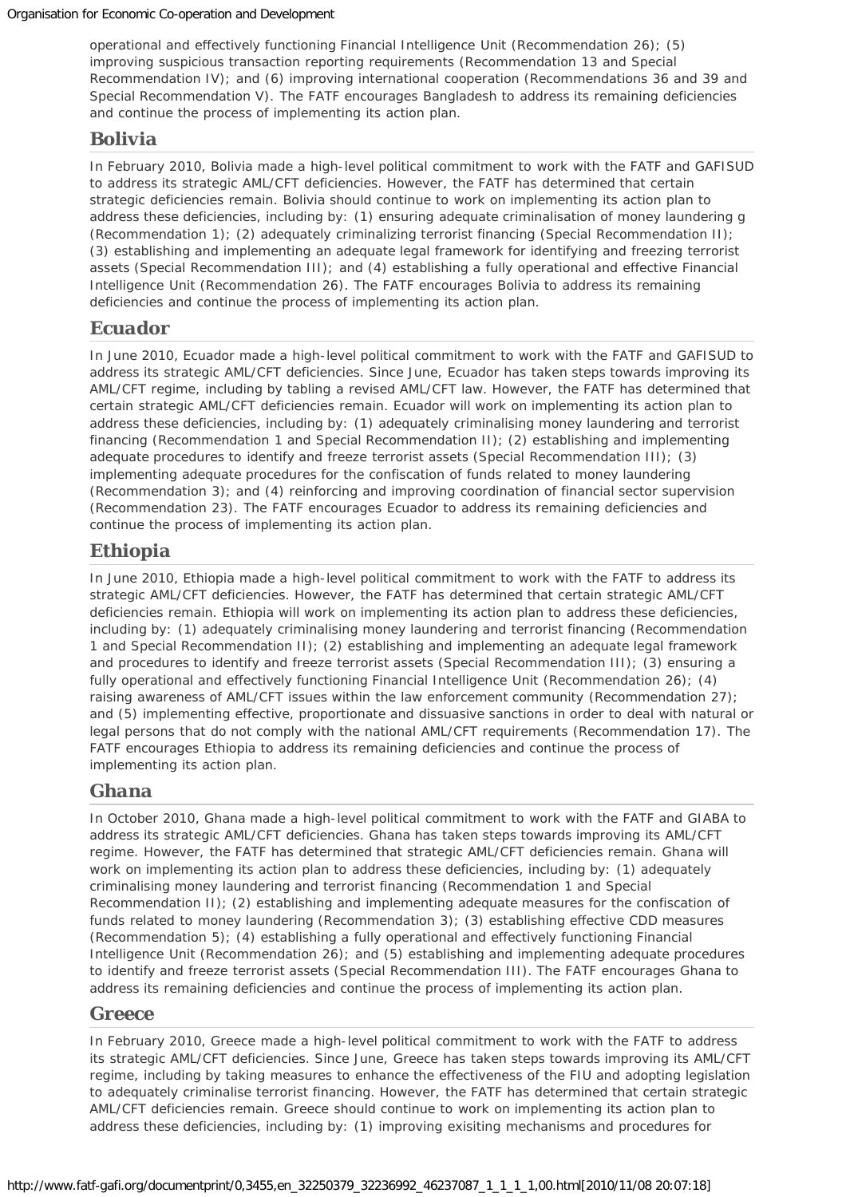operational and effectively functioning Financial Intelligence Unit (Recommendation 26); (5) improving suspicious transaction reporting requirements (Recommendation 13 and Special Recommendation IV); and (6) improving international cooperation (Recommendations 36 and 39 and Special Recommendation V). The FATF encourages Bangladesh to address its remaining deficiencies and continue the process of implementing its action plan.

#### *Bolivia*

In February 2010, Bolivia made a high-level political commitment to work with the FATF and GAFISUD to address its strategic AML/CFT deficiencies. However, the FATF has determined that certain strategic deficiencies remain. Bolivia should continue to work on implementing its action plan to address these deficiencies, including by: (1) ensuring adequate criminalisation of money laundering g (Recommendation 1); (2) adequately criminalizing terrorist financing (Special Recommendation II); (3) establishing and implementing an adequate legal framework for identifying and freezing terrorist assets (Special Recommendation III); and (4) establishing a fully operational and effective Financial Intelligence Unit (Recommendation 26). The FATF encourages Bolivia to address its remaining deficiencies and continue the process of implementing its action plan.

#### *Ecuador*

In June 2010, Ecuador made a high-level political commitment to work with the FATF and GAFISUD to address its strategic AML/CFT deficiencies. Since June, Ecuador has taken steps towards improving its AML/CFT regime, including by tabling a revised AML/CFT law. However, the FATF has determined that certain strategic AML/CFT deficiencies remain. Ecuador will work on implementing its action plan to address these deficiencies, including by: (1) adequately criminalising money laundering and terrorist financing (Recommendation 1 and Special Recommendation II); (2) establishing and implementing adequate procedures to identify and freeze terrorist assets (Special Recommendation III); (3) implementing adequate procedures for the confiscation of funds related to money laundering (Recommendation 3); and (4) reinforcing and improving coordination of financial sector supervision (Recommendation 23). The FATF encourages Ecuador to address its remaining deficiencies and continue the process of implementing its action plan.

## *Ethiopia*

In June 2010, Ethiopia made a high-level political commitment to work with the FATF to address its strategic AML/CFT deficiencies. However, the FATF has determined that certain strategic AML/CFT deficiencies remain. Ethiopia will work on implementing its action plan to address these deficiencies, including by: (1) adequately criminalising money laundering and terrorist financing (Recommendation 1 and Special Recommendation II); (2) establishing and implementing an adequate legal framework and procedures to identify and freeze terrorist assets (Special Recommendation III); (3) ensuring a fully operational and effectively functioning Financial Intelligence Unit (Recommendation 26); (4) raising awareness of AML/CFT issues within the law enforcement community (Recommendation 27); and (5) implementing effective, proportionate and dissuasive sanctions in order to deal with natural or legal persons that do not comply with the national AML/CFT requirements (Recommendation 17). The FATF encourages Ethiopia to address its remaining deficiencies and continue the process of implementing its action plan.

## *Ghana*

In October 2010, Ghana made a high-level political commitment to work with the FATF and GIABA to address its strategic AML/CFT deficiencies. Ghana has taken steps towards improving its AML/CFT regime. However, the FATF has determined that strategic AML/CFT deficiencies remain. Ghana will work on implementing its action plan to address these deficiencies, including by: (1) adequately criminalising money laundering and terrorist financing (Recommendation 1 and Special Recommendation II); (2) establishing and implementing adequate measures for the confiscation of funds related to money laundering (Recommendation 3); (3) establishing effective CDD measures (Recommendation 5); (4) establishing a fully operational and effectively functioning Financial Intelligence Unit (Recommendation 26); and (5) establishing and implementing adequate procedures to identify and freeze terrorist assets (Special Recommendation III). The FATF encourages Ghana to address its remaining deficiencies and continue the process of implementing its action plan.

#### *Greece*

In February 2010, Greece made a high-level political commitment to work with the FATF to address its strategic AML/CFT deficiencies. Since June, Greece has taken steps towards improving its AML/CFT regime, including by taking measures to enhance the effectiveness of the FIU and adopting legislation to adequately criminalise terrorist financing. However, the FATF has determined that certain strategic AML/CFT deficiencies remain. Greece should continue to work on implementing its action plan to address these deficiencies, including by: (1) improving exisiting mechanisms and procedures for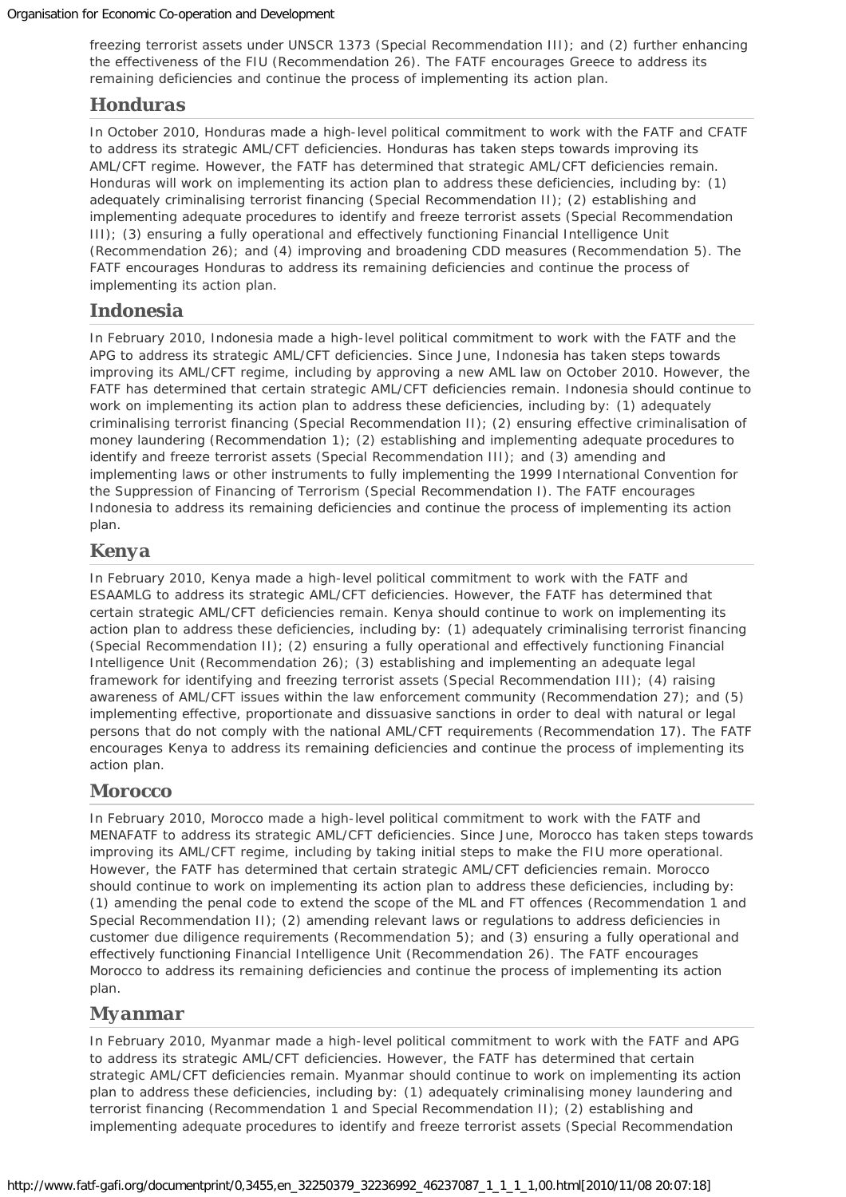freezing terrorist assets under UNSCR 1373 (Special Recommendation III); and (2) further enhancing the effectiveness of the FIU (Recommendation 26). The FATF encourages Greece to address its remaining deficiencies and continue the process of implementing its action plan.

#### *Honduras*

In October 2010, Honduras made a high-level political commitment to work with the FATF and CFATF to address its strategic AML/CFT deficiencies. Honduras has taken steps towards improving its AML/CFT regime. However, the FATF has determined that strategic AML/CFT deficiencies remain. Honduras will work on implementing its action plan to address these deficiencies, including by: (1) adequately criminalising terrorist financing (Special Recommendation II); (2) establishing and implementing adequate procedures to identify and freeze terrorist assets (Special Recommendation III); (3) ensuring a fully operational and effectively functioning Financial Intelligence Unit (Recommendation 26); and (4) improving and broadening CDD measures (Recommendation 5). The FATF encourages Honduras to address its remaining deficiencies and continue the process of implementing its action plan.

#### *Indonesia*

In February 2010, Indonesia made a high-level political commitment to work with the FATF and the APG to address its strategic AML/CFT deficiencies. Since June, Indonesia has taken steps towards improving its AML/CFT regime, including by approving a new AML law on October 2010. However, the FATF has determined that certain strategic AML/CFT deficiencies remain. Indonesia should continue to work on implementing its action plan to address these deficiencies, including by: (1) adequately criminalising terrorist financing (Special Recommendation II); (2) ensuring effective criminalisation of money laundering (Recommendation 1); (2) establishing and implementing adequate procedures to identify and freeze terrorist assets (Special Recommendation III); and (3) amending and implementing laws or other instruments to fully implementing the 1999 International Convention for the Suppression of Financing of Terrorism (Special Recommendation I). The FATF encourages Indonesia to address its remaining deficiencies and continue the process of implementing its action plan.

#### *Kenya*

In February 2010, Kenya made a high-level political commitment to work with the FATF and ESAAMLG to address its strategic AML/CFT deficiencies. However, the FATF has determined that certain strategic AML/CFT deficiencies remain. Kenya should continue to work on implementing its action plan to address these deficiencies, including by: (1) adequately criminalising terrorist financing (Special Recommendation II); (2) ensuring a fully operational and effectively functioning Financial Intelligence Unit (Recommendation 26); (3) establishing and implementing an adequate legal framework for identifying and freezing terrorist assets (Special Recommendation III); (4) raising awareness of AML/CFT issues within the law enforcement community (Recommendation 27); and (5) implementing effective, proportionate and dissuasive sanctions in order to deal with natural or legal persons that do not comply with the national AML/CFT requirements (Recommendation 17). The FATF encourages Kenya to address its remaining deficiencies and continue the process of implementing its action plan.

#### *Morocco*

In February 2010, Morocco made a high-level political commitment to work with the FATF and MENAFATF to address its strategic AML/CFT deficiencies. Since June, Morocco has taken steps towards improving its AML/CFT regime, including by taking initial steps to make the FIU more operational. However, the FATF has determined that certain strategic AML/CFT deficiencies remain. Morocco should continue to work on implementing its action plan to address these deficiencies, including by: (1) amending the penal code to extend the scope of the ML and FT offences (Recommendation 1 and Special Recommendation II); (2) amending relevant laws or regulations to address deficiencies in customer due diligence requirements (Recommendation 5); and (3) ensuring a fully operational and effectively functioning Financial Intelligence Unit (Recommendation 26). The FATF encourages Morocco to address its remaining deficiencies and continue the process of implementing its action plan.

#### *Myanmar*

In February 2010, Myanmar made a high-level political commitment to work with the FATF and APG to address its strategic AML/CFT deficiencies. However, the FATF has determined that certain strategic AML/CFT deficiencies remain. Myanmar should continue to work on implementing its action plan to address these deficiencies, including by: (1) adequately criminalising money laundering and terrorist financing (Recommendation 1 and Special Recommendation II); (2) establishing and implementing adequate procedures to identify and freeze terrorist assets (Special Recommendation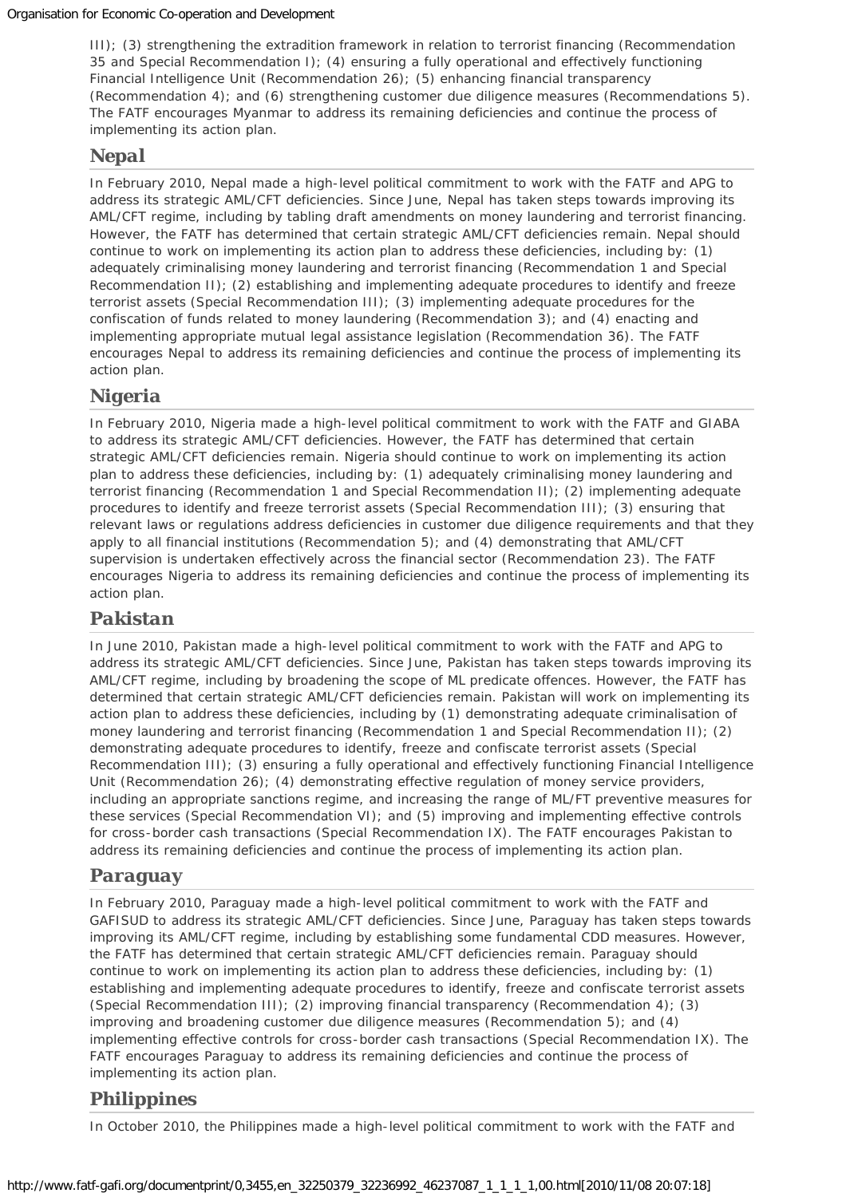III); (3) strengthening the extradition framework in relation to terrorist financing (Recommendation 35 and Special Recommendation I); (4) ensuring a fully operational and effectively functioning Financial Intelligence Unit (Recommendation 26); (5) enhancing financial transparency (Recommendation 4); and (6) strengthening customer due diligence measures (Recommendations 5). The FATF encourages Myanmar to address its remaining deficiencies and continue the process of implementing its action plan.

## *Nepal*

In February 2010, Nepal made a high-level political commitment to work with the FATF and APG to address its strategic AML/CFT deficiencies. Since June, Nepal has taken steps towards improving its AML/CFT regime, including by tabling draft amendments on money laundering and terrorist financing. However, the FATF has determined that certain strategic AML/CFT deficiencies remain. Nepal should continue to work on implementing its action plan to address these deficiencies, including by: (1) adequately criminalising money laundering and terrorist financing (Recommendation 1 and Special Recommendation II); (2) establishing and implementing adequate procedures to identify and freeze terrorist assets (Special Recommendation III); (3) implementing adequate procedures for the confiscation of funds related to money laundering (Recommendation 3); and (4) enacting and implementing appropriate mutual legal assistance legislation (Recommendation 36). The FATF encourages Nepal to address its remaining deficiencies and continue the process of implementing its action plan.

#### *Nigeria*

In February 2010, Nigeria made a high-level political commitment to work with the FATF and GIABA to address its strategic AML/CFT deficiencies. However, the FATF has determined that certain strategic AML/CFT deficiencies remain. Nigeria should continue to work on implementing its action plan to address these deficiencies, including by: (1) adequately criminalising money laundering and terrorist financing (Recommendation 1 and Special Recommendation II); (2) implementing adequate procedures to identify and freeze terrorist assets (Special Recommendation III); (3) ensuring that relevant laws or regulations address deficiencies in customer due diligence requirements and that they apply to all financial institutions (Recommendation 5); and (4) demonstrating that AML/CFT supervision is undertaken effectively across the financial sector (Recommendation 23). The FATF encourages Nigeria to address its remaining deficiencies and continue the process of implementing its action plan.

## *Pakistan*

In June 2010, Pakistan made a high-level political commitment to work with the FATF and APG to address its strategic AML/CFT deficiencies. Since June, Pakistan has taken steps towards improving its AML/CFT regime, including by broadening the scope of ML predicate offences. However, the FATF has determined that certain strategic AML/CFT deficiencies remain. Pakistan will work on implementing its action plan to address these deficiencies, including by (1) demonstrating adequate criminalisation of money laundering and terrorist financing (Recommendation 1 and Special Recommendation II); (2) demonstrating adequate procedures to identify, freeze and confiscate terrorist assets (Special Recommendation III); (3) ensuring a fully operational and effectively functioning Financial Intelligence Unit (Recommendation 26); (4) demonstrating effective regulation of money service providers, including an appropriate sanctions regime, and increasing the range of ML/FT preventive measures for these services (Special Recommendation VI); and (5) improving and implementing effective controls for cross-border cash transactions (Special Recommendation IX). The FATF encourages Pakistan to address its remaining deficiencies and continue the process of implementing its action plan.

## *Paraguay*

In February 2010, Paraguay made a high-level political commitment to work with the FATF and GAFISUD to address its strategic AML/CFT deficiencies. Since June, Paraguay has taken steps towards improving its AML/CFT regime, including by establishing some fundamental CDD measures. However, the FATF has determined that certain strategic AML/CFT deficiencies remain. Paraguay should continue to work on implementing its action plan to address these deficiencies, including by: (1) establishing and implementing adequate procedures to identify, freeze and confiscate terrorist assets (Special Recommendation III); (2) improving financial transparency (Recommendation 4); (3) improving and broadening customer due diligence measures (Recommendation 5); and (4) implementing effective controls for cross-border cash transactions (Special Recommendation IX). The FATF encourages Paraguay to address its remaining deficiencies and continue the process of implementing its action plan.

## *Philippines*

In October 2010, the Philippines made a high-level political commitment to work with the FATF and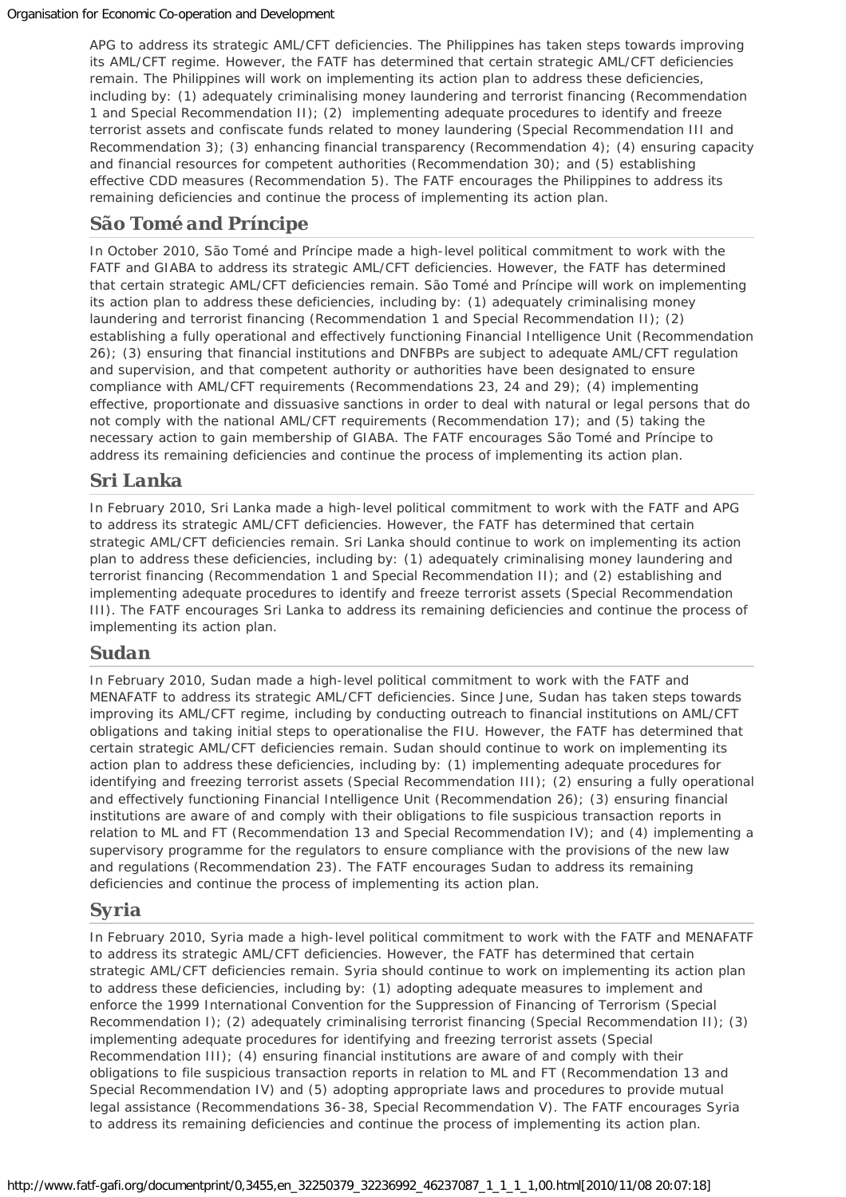APG to address its strategic AML/CFT deficiencies. The Philippines has taken steps towards improving its AML/CFT regime. However, the FATF has determined that certain strategic AML/CFT deficiencies remain. The Philippines will work on implementing its action plan to address these deficiencies, including by: (1) adequately criminalising money laundering and terrorist financing (Recommendation 1 and Special Recommendation II); (2) implementing adequate procedures to identify and freeze terrorist assets and confiscate funds related to money laundering (Special Recommendation III and Recommendation 3); (3) enhancing financial transparency (Recommendation 4); (4) ensuring capacity and financial resources for competent authorities (Recommendation 30); and (5) establishing effective CDD measures (Recommendation 5). The FATF encourages the Philippines to address its remaining deficiencies and continue the process of implementing its action plan.

#### *São Tomé and Príncipe*

In October 2010, São Tomé and Príncipe made a high-level political commitment to work with the FATF and GIABA to address its strategic AML/CFT deficiencies. However, the FATF has determined that certain strategic AML/CFT deficiencies remain. São Tomé and Príncipe will work on implementing its action plan to address these deficiencies, including by: (1) adequately criminalising money laundering and terrorist financing (Recommendation 1 and Special Recommendation II); (2) establishing a fully operational and effectively functioning Financial Intelligence Unit (Recommendation 26); (3) ensuring that financial institutions and DNFBPs are subject to adequate AML/CFT regulation and supervision, and that competent authority or authorities have been designated to ensure compliance with AML/CFT requirements (Recommendations 23, 24 and 29); (4) implementing effective, proportionate and dissuasive sanctions in order to deal with natural or legal persons that do not comply with the national AML/CFT requirements (Recommendation 17); and (5) taking the necessary action to gain membership of GIABA. The FATF encourages São Tomé and Príncipe to address its remaining deficiencies and continue the process of implementing its action plan.

## *Sri Lanka*

In February 2010, Sri Lanka made a high-level political commitment to work with the FATF and APG to address its strategic AML/CFT deficiencies. However, the FATF has determined that certain strategic AML/CFT deficiencies remain. Sri Lanka should continue to work on implementing its action plan to address these deficiencies, including by: (1) adequately criminalising money laundering and terrorist financing (Recommendation 1 and Special Recommendation II); and (2) establishing and implementing adequate procedures to identify and freeze terrorist assets (Special Recommendation III). The FATF encourages Sri Lanka to address its remaining deficiencies and continue the process of implementing its action plan.

#### *Sudan*

In February 2010, Sudan made a high-level political commitment to work with the FATF and MENAFATF to address its strategic AML/CFT deficiencies. Since June, Sudan has taken steps towards improving its AML/CFT regime, including by conducting outreach to financial institutions on AML/CFT obligations and taking initial steps to operationalise the FIU. However, the FATF has determined that certain strategic AML/CFT deficiencies remain. Sudan should continue to work on implementing its action plan to address these deficiencies, including by: (1) implementing adequate procedures for identifying and freezing terrorist assets (Special Recommendation III); (2) ensuring a fully operational and effectively functioning Financial Intelligence Unit (Recommendation 26); (3) ensuring financial institutions are aware of and comply with their obligations to file suspicious transaction reports in relation to ML and FT (Recommendation 13 and Special Recommendation IV); and (4) implementing a supervisory programme for the regulators to ensure compliance with the provisions of the new law and regulations (Recommendation 23). The FATF encourages Sudan to address its remaining deficiencies and continue the process of implementing its action plan.

## *Syria*

In February 2010, Syria made a high-level political commitment to work with the FATF and MENAFATF to address its strategic AML/CFT deficiencies. However, the FATF has determined that certain strategic AML/CFT deficiencies remain. Syria should continue to work on implementing its action plan to address these deficiencies, including by: (1) adopting adequate measures to implement and enforce the 1999 International Convention for the Suppression of Financing of Terrorism (Special Recommendation I); (2) adequately criminalising terrorist financing (Special Recommendation II); (3) implementing adequate procedures for identifying and freezing terrorist assets (Special Recommendation III); (4) ensuring financial institutions are aware of and comply with their obligations to file suspicious transaction reports in relation to ML and FT (Recommendation 13 and Special Recommendation IV) and (5) adopting appropriate laws and procedures to provide mutual legal assistance (Recommendations 36-38, Special Recommendation V). The FATF encourages Syria to address its remaining deficiencies and continue the process of implementing its action plan.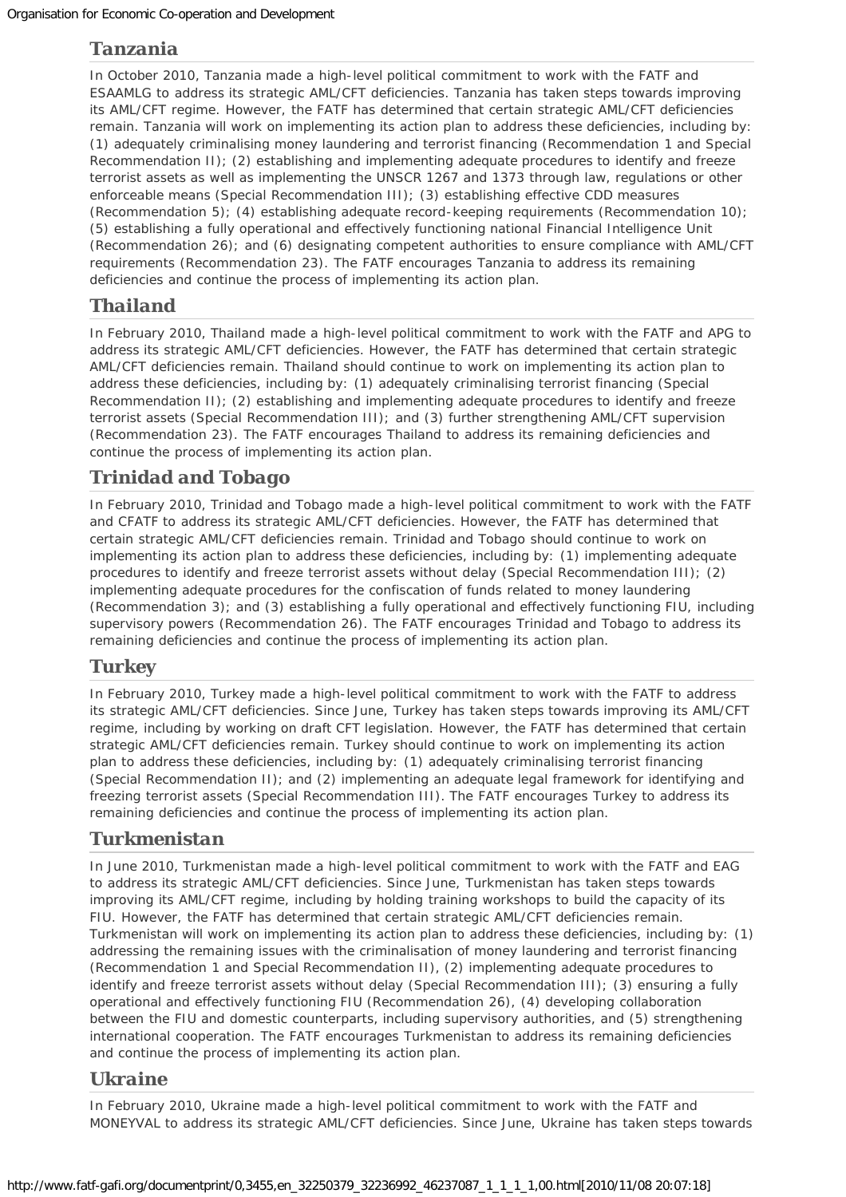## *Tanzania*

In October 2010, Tanzania made a high-level political commitment to work with the FATF and ESAAMLG to address its strategic AML/CFT deficiencies. Tanzania has taken steps towards improving its AML/CFT regime. However, the FATF has determined that certain strategic AML/CFT deficiencies remain. Tanzania will work on implementing its action plan to address these deficiencies, including by: (1) adequately criminalising money laundering and terrorist financing (Recommendation 1 and Special Recommendation II); (2) establishing and implementing adequate procedures to identify and freeze terrorist assets as well as implementing the UNSCR 1267 and 1373 through law, regulations or other enforceable means (Special Recommendation III); (3) establishing effective CDD measures (Recommendation 5); (4) establishing adequate record-keeping requirements (Recommendation 10); (5) establishing a fully operational and effectively functioning national Financial Intelligence Unit (Recommendation 26); and (6) designating competent authorities to ensure compliance with AML/CFT requirements (Recommendation 23). The FATF encourages Tanzania to address its remaining deficiencies and continue the process of implementing its action plan.

## *Thailand*

In February 2010, Thailand made a high-level political commitment to work with the FATF and APG to address its strategic AML/CFT deficiencies. However, the FATF has determined that certain strategic AML/CFT deficiencies remain. Thailand should continue to work on implementing its action plan to address these deficiencies, including by: (1) adequately criminalising terrorist financing (Special Recommendation II); (2) establishing and implementing adequate procedures to identify and freeze terrorist assets (Special Recommendation III); and (3) further strengthening AML/CFT supervision (Recommendation 23). The FATF encourages Thailand to address its remaining deficiencies and continue the process of implementing its action plan.

## *Trinidad and Tobago*

In February 2010, Trinidad and Tobago made a high-level political commitment to work with the FATF and CFATF to address its strategic AML/CFT deficiencies. However, the FATF has determined that certain strategic AML/CFT deficiencies remain. Trinidad and Tobago should continue to work on implementing its action plan to address these deficiencies, including by: (1) implementing adequate procedures to identify and freeze terrorist assets without delay (Special Recommendation III); (2) implementing adequate procedures for the confiscation of funds related to money laundering (Recommendation 3); and (3) establishing a fully operational and effectively functioning FIU, including supervisory powers (Recommendation 26). The FATF encourages Trinidad and Tobago to address its remaining deficiencies and continue the process of implementing its action plan.

#### *Turkey*

In February 2010, Turkey made a high-level political commitment to work with the FATF to address its strategic AML/CFT deficiencies. Since June, Turkey has taken steps towards improving its AML/CFT regime, including by working on draft CFT legislation. However, the FATF has determined that certain strategic AML/CFT deficiencies remain. Turkey should continue to work on implementing its action plan to address these deficiencies, including by: (1) adequately criminalising terrorist financing (Special Recommendation II); and (2) implementing an adequate legal framework for identifying and freezing terrorist assets (Special Recommendation III). The FATF encourages Turkey to address its remaining deficiencies and continue the process of implementing its action plan.

#### *Turkmenistan*

In June 2010, Turkmenistan made a high-level political commitment to work with the FATF and EAG to address its strategic AML/CFT deficiencies. Since June, Turkmenistan has taken steps towards improving its AML/CFT regime, including by holding training workshops to build the capacity of its FIU. However, the FATF has determined that certain strategic AML/CFT deficiencies remain. Turkmenistan will work on implementing its action plan to address these deficiencies, including by: (1) addressing the remaining issues with the criminalisation of money laundering and terrorist financing (Recommendation 1 and Special Recommendation II), (2) implementing adequate procedures to identify and freeze terrorist assets without delay (Special Recommendation III); (3) ensuring a fully operational and effectively functioning FIU (Recommendation 26), (4) developing collaboration between the FIU and domestic counterparts, including supervisory authorities, and (5) strengthening international cooperation. The FATF encourages Turkmenistan to address its remaining deficiencies and continue the process of implementing its action plan.

#### *Ukraine*

In February 2010, Ukraine made a high-level political commitment to work with the FATF and MONEYVAL to address its strategic AML/CFT deficiencies. Since June, Ukraine has taken steps towards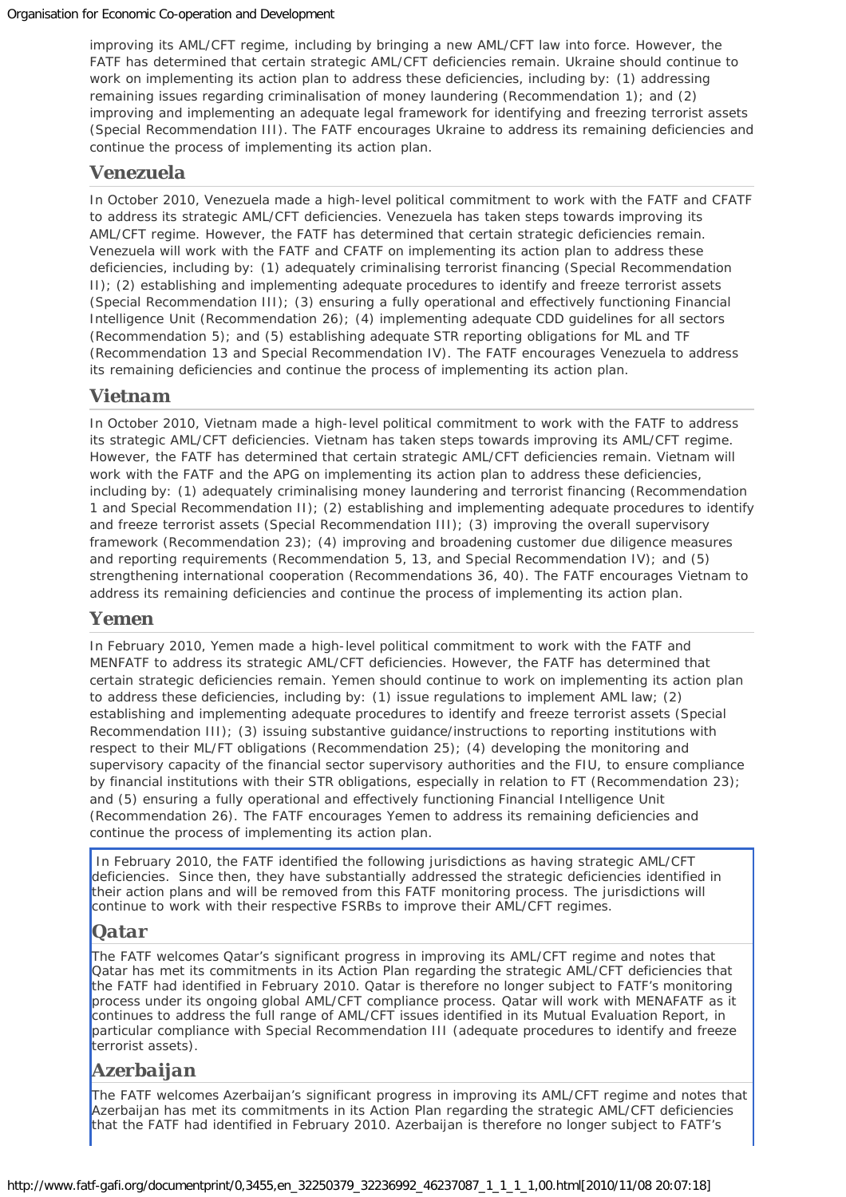improving its AML/CFT regime, including by bringing a new AML/CFT law into force. However, the FATF has determined that certain strategic AML/CFT deficiencies remain. Ukraine should continue to work on implementing its action plan to address these deficiencies, including by: (1) addressing remaining issues regarding criminalisation of money laundering (Recommendation 1); and (2) improving and implementing an adequate legal framework for identifying and freezing terrorist assets (Special Recommendation III). The FATF encourages Ukraine to address its remaining deficiencies and continue the process of implementing its action plan.

#### *Venezuela*

In October 2010, Venezuela made a high-level political commitment to work with the FATF and CFATF to address its strategic AML/CFT deficiencies. Venezuela has taken steps towards improving its AML/CFT regime. However, the FATF has determined that certain strategic deficiencies remain. Venezuela will work with the FATF and CFATF on implementing its action plan to address these deficiencies, including by: (1) adequately criminalising terrorist financing (Special Recommendation II); (2) establishing and implementing adequate procedures to identify and freeze terrorist assets (Special Recommendation III); (3) ensuring a fully operational and effectively functioning Financial Intelligence Unit (Recommendation 26); (4) implementing adequate CDD guidelines for all sectors (Recommendation 5); and (5) establishing adequate STR reporting obligations for ML and TF (Recommendation 13 and Special Recommendation IV). The FATF encourages Venezuela to address its remaining deficiencies and continue the process of implementing its action plan.

#### *Vietnam*

In October 2010, Vietnam made a high-level political commitment to work with the FATF to address its strategic AML/CFT deficiencies. Vietnam has taken steps towards improving its AML/CFT regime. However, the FATF has determined that certain strategic AML/CFT deficiencies remain. Vietnam will work with the FATF and the APG on implementing its action plan to address these deficiencies, including by: (1) adequately criminalising money laundering and terrorist financing (Recommendation 1 and Special Recommendation II); (2) establishing and implementing adequate procedures to identify and freeze terrorist assets (Special Recommendation III); (3) improving the overall supervisory framework (Recommendation 23); (4) improving and broadening customer due diligence measures and reporting requirements (Recommendation 5, 13, and Special Recommendation IV); and (5) strengthening international cooperation (Recommendations 36, 40). The FATF encourages Vietnam to address its remaining deficiencies and continue the process of implementing its action plan.

#### *Yemen*

In February 2010, Yemen made a high-level political commitment to work with the FATF and MENFATF to address its strategic AML/CFT deficiencies. However, the FATF has determined that certain strategic deficiencies remain. Yemen should continue to work on implementing its action plan to address these deficiencies, including by: (1) issue regulations to implement AML law; (2) establishing and implementing adequate procedures to identify and freeze terrorist assets (Special Recommendation III); (3) issuing substantive guidance/instructions to reporting institutions with respect to their ML/FT obligations (Recommendation 25); (4) developing the monitoring and supervisory capacity of the financial sector supervisory authorities and the FIU, to ensure compliance by financial institutions with their STR obligations, especially in relation to FT (Recommendation 23); and (5) ensuring a fully operational and effectively functioning Financial Intelligence Unit (Recommendation 26). The FATF encourages Yemen to address its remaining deficiencies and continue the process of implementing its action plan.

In February 2010, the FATF identified the following jurisdictions as having strategic AML/CFT deficiencies. Since then, they have substantially addressed the strategic deficiencies identified in their action plans and will be removed from this FATF monitoring process. The jurisdictions will continue to work with their respective FSRBs to improve their AML/CFT regimes.

#### *Qatar*

The FATF welcomes Qatar's significant progress in improving its AML/CFT regime and notes that Qatar has met its commitments in its Action Plan regarding the strategic AML/CFT deficiencies that the FATF had identified in February 2010. Qatar is therefore no longer subject to FATF's monitoring process under its ongoing global AML/CFT compliance process. Qatar will work with MENAFATF as it continues to address the full range of AML/CFT issues identified in its Mutual Evaluation Report, in particular compliance with Special Recommendation III (adequate procedures to identify and freeze terrorist assets).

#### *Azerbaijan*

The FATF welcomes Azerbaijan's significant progress in improving its AML/CFT regime and notes that Azerbaijan has met its commitments in its Action Plan regarding the strategic AML/CFT deficiencies that the FATF had identified in February 2010. Azerbaijan is therefore no longer subject to FATF's